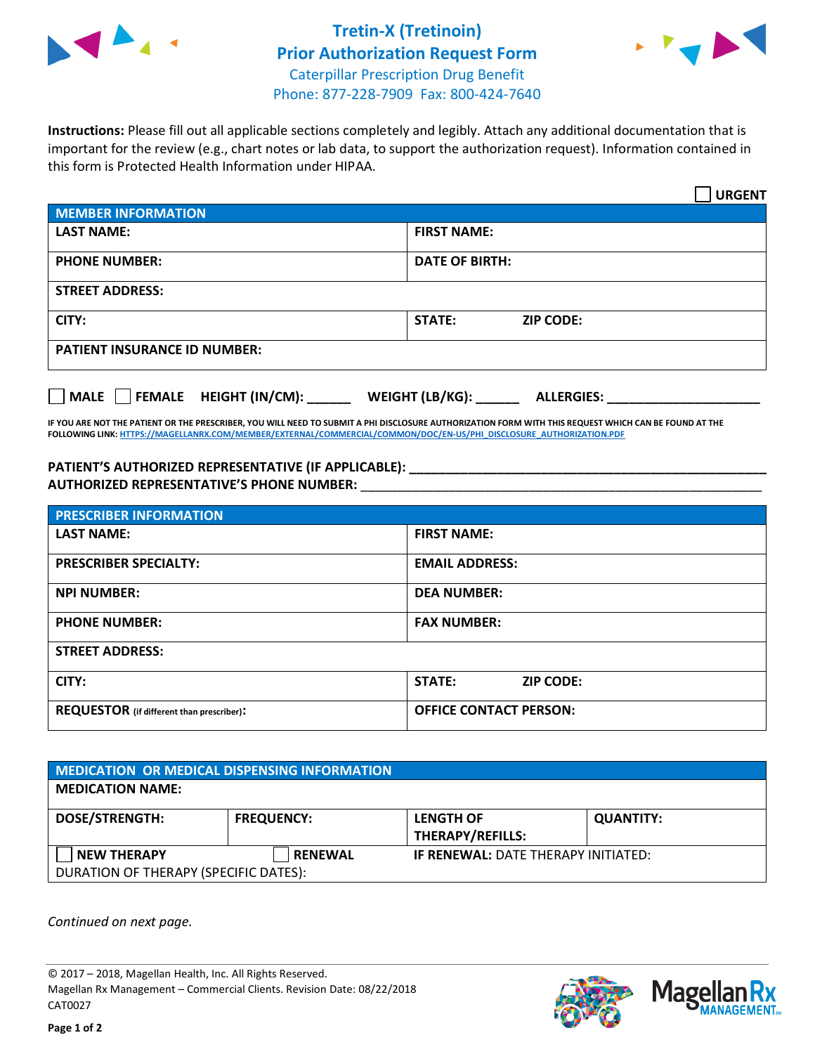



**Instructions:** Please fill out all applicable sections completely and legibly. Attach any additional documentation that is important for the review (e.g., chart notes or lab data, to support the authorization request). Information contained in this form is Protected Health Information under HIPAA.

|                                     |                                      | <b>URGENT</b> |
|-------------------------------------|--------------------------------------|---------------|
| <b>MEMBER INFORMATION</b>           |                                      |               |
| <b>LAST NAME:</b>                   | <b>FIRST NAME:</b>                   |               |
| <b>PHONE NUMBER:</b>                | <b>DATE OF BIRTH:</b>                |               |
| <b>STREET ADDRESS:</b>              |                                      |               |
| CITY:                               | <b>STATE:</b><br><b>ZIP CODE:</b>    |               |
| <b>PATIENT INSURANCE ID NUMBER:</b> |                                      |               |
| MALE FEMALE HEIGHT (IN/CM):         | WEIGHT (LB/KG):<br><b>ALLERGIES:</b> |               |

**IF YOU ARE NOT THE PATIENT OR THE PRESCRIBER, YOU WILL NEED TO SUBMIT A PHI DISCLOSURE AUTHORIZATION FORM WITH THIS REQUEST WHICH CAN BE FOUND AT THE FOLLOWING LINK[: HTTPS://MAGELLANRX.COM/MEMBER/EXTERNAL/COMMERCIAL/COMMON/DOC/EN-US/PHI\\_DISCLOSURE\\_AUTHORIZATION.PDF](https://magellanrx.com/member/external/commercial/common/doc/en-us/PHI_Disclosure_Authorization.pdf)**

**PATIENT'S AUTHORIZED REPRESENTATIVE (IF APPLICABLE): \_\_\_\_\_\_\_\_\_\_\_\_\_\_\_\_\_\_\_\_\_\_\_\_\_\_\_\_\_\_\_\_\_\_\_\_\_\_\_\_\_\_\_\_\_\_\_\_\_ AUTHORIZED REPRESENTATIVE'S PHONE NUMBER:** \_\_\_\_\_\_\_\_\_\_\_\_\_\_\_\_\_\_\_\_\_\_\_\_\_\_\_\_\_\_\_\_\_\_\_\_\_\_\_\_\_\_\_\_\_\_\_\_\_\_\_\_\_\_\_

| <b>PRESCRIBER INFORMATION</b>             |                               |  |  |  |
|-------------------------------------------|-------------------------------|--|--|--|
| <b>LAST NAME:</b>                         | <b>FIRST NAME:</b>            |  |  |  |
| <b>PRESCRIBER SPECIALTY:</b>              | <b>EMAIL ADDRESS:</b>         |  |  |  |
| <b>NPI NUMBER:</b>                        | <b>DEA NUMBER:</b>            |  |  |  |
| <b>PHONE NUMBER:</b>                      | <b>FAX NUMBER:</b>            |  |  |  |
| <b>STREET ADDRESS:</b>                    |                               |  |  |  |
| CITY:                                     | STATE:<br><b>ZIP CODE:</b>    |  |  |  |
| REQUESTOR (if different than prescriber): | <b>OFFICE CONTACT PERSON:</b> |  |  |  |

| <b>MEDICATION OR MEDICAL DISPENSING INFORMATION</b> |                   |                                            |                  |  |  |
|-----------------------------------------------------|-------------------|--------------------------------------------|------------------|--|--|
| <b>MEDICATION NAME:</b>                             |                   |                                            |                  |  |  |
| <b>DOSE/STRENGTH:</b>                               | <b>FREQUENCY:</b> | <b>LENGTH OF</b>                           | <b>QUANTITY:</b> |  |  |
|                                                     |                   | <b>THERAPY/REFILLS:</b>                    |                  |  |  |
| <b>NEW THERAPY</b>                                  | <b>RENEWAL</b>    | <b>IF RENEWAL: DATE THERAPY INITIATED:</b> |                  |  |  |
| DURATION OF THERAPY (SPECIFIC DATES):               |                   |                                            |                  |  |  |

*Continued on next page.*

© 2017 – 2018, Magellan Health, Inc. All Rights Reserved. Magellan Rx Management – Commercial Clients. Revision Date: 08/22/2018 CAT0027